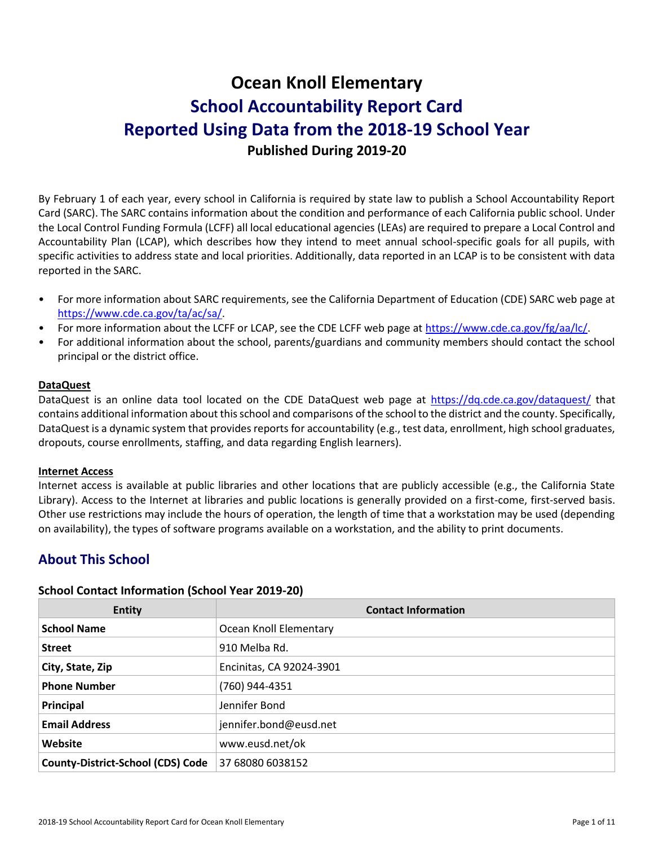# **Ocean Knoll Elementary School Accountability Report Card Reported Using Data from the 2018-19 School Year Published During 2019-20**

By February 1 of each year, every school in California is required by state law to publish a School Accountability Report Card (SARC). The SARC contains information about the condition and performance of each California public school. Under the Local Control Funding Formula (LCFF) all local educational agencies (LEAs) are required to prepare a Local Control and Accountability Plan (LCAP), which describes how they intend to meet annual school-specific goals for all pupils, with specific activities to address state and local priorities. Additionally, data reported in an LCAP is to be consistent with data reported in the SARC.

- For more information about SARC requirements, see the California Department of Education (CDE) SARC web page at [https://www.cde.ca.gov/ta/ac/sa/.](https://www.cde.ca.gov/ta/ac/sa/)
- For more information about the LCFF or LCAP, see the CDE LCFF web page at [https://www.cde.ca.gov/fg/aa/lc/.](https://www.cde.ca.gov/fg/aa/lc/)
- For additional information about the school, parents/guardians and community members should contact the school principal or the district office.

### **DataQuest**

DataQuest is an online data tool located on the CDE DataQuest web page at<https://dq.cde.ca.gov/dataquest/> that contains additional information about this school and comparisons of the school to the district and the county. Specifically, DataQuest is a dynamic system that provides reports for accountability (e.g., test data, enrollment, high school graduates, dropouts, course enrollments, staffing, and data regarding English learners).

#### **Internet Access**

Internet access is available at public libraries and other locations that are publicly accessible (e.g., the California State Library). Access to the Internet at libraries and public locations is generally provided on a first-come, first-served basis. Other use restrictions may include the hours of operation, the length of time that a workstation may be used (depending on availability), the types of software programs available on a workstation, and the ability to print documents.

# **About This School**

### **School Contact Information (School Year 2019-20)**

| <b>Entity</b>                            | <b>Contact Information</b> |
|------------------------------------------|----------------------------|
| <b>School Name</b>                       | Ocean Knoll Elementary     |
| <b>Street</b>                            | 910 Melba Rd.              |
| City, State, Zip                         | Encinitas, CA 92024-3901   |
| <b>Phone Number</b>                      | (760) 944-4351             |
| Principal                                | Jennifer Bond              |
| <b>Email Address</b>                     | jennifer.bond@eusd.net     |
| Website                                  | www.eusd.net/ok            |
| <b>County-District-School (CDS) Code</b> | 37 68080 6038152           |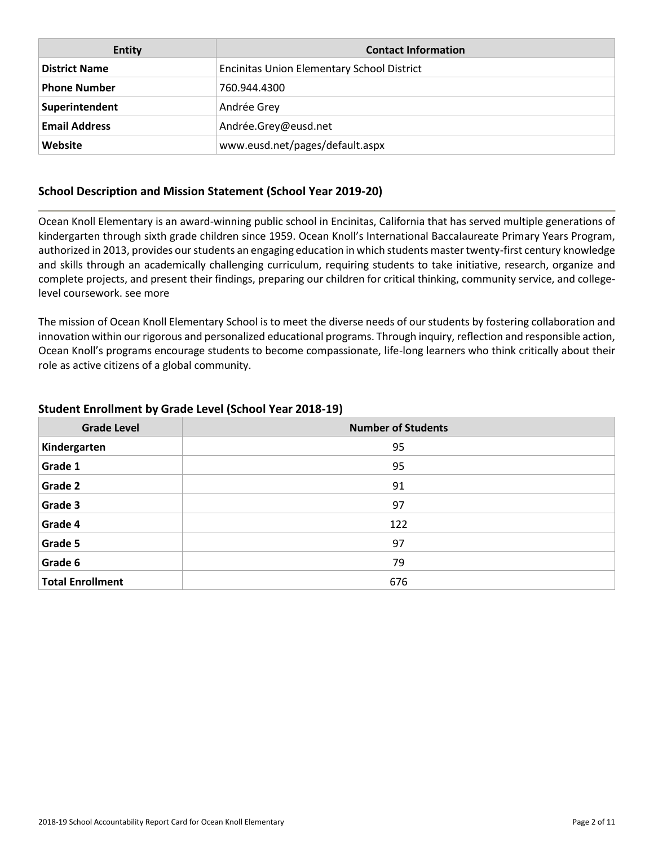| <b>Entity</b>        | <b>Contact Information</b>                        |
|----------------------|---------------------------------------------------|
| <b>District Name</b> | <b>Encinitas Union Elementary School District</b> |
| <b>Phone Number</b>  | 760.944.4300                                      |
| Superintendent       | Andrée Grey                                       |
| <b>Email Address</b> | Andrée.Grey@eusd.net                              |
| Website              | www.eusd.net/pages/default.aspx                   |

## **School Description and Mission Statement (School Year 2019-20)**

Ocean Knoll Elementary is an award-winning public school in Encinitas, California that has served multiple generations of kindergarten through sixth grade children since 1959. Ocean Knoll's International Baccalaureate Primary Years Program, authorized in 2013, provides our students an engaging education in which students master twenty-first century knowledge and skills through an academically challenging curriculum, requiring students to take initiative, research, organize and complete projects, and present their findings, preparing our children for critical thinking, community service, and collegelevel coursework. see more

The mission of Ocean Knoll Elementary School is to meet the diverse needs of our students by fostering collaboration and innovation within our rigorous and personalized educational programs. Through inquiry, reflection and responsible action, Ocean Knoll's programs encourage students to become compassionate, life-long learners who think critically about their role as active citizens of a global community.

| <b>Grade Level</b>      | <b>Number of Students</b> |
|-------------------------|---------------------------|
| Kindergarten            | 95                        |
| Grade 1                 | 95                        |
| Grade 2                 | 91                        |
| Grade 3                 | 97                        |
| Grade 4                 | 122                       |
| Grade 5                 | 97                        |
| Grade 6                 | 79                        |
| <b>Total Enrollment</b> | 676                       |

## **Student Enrollment by Grade Level (School Year 2018-19)**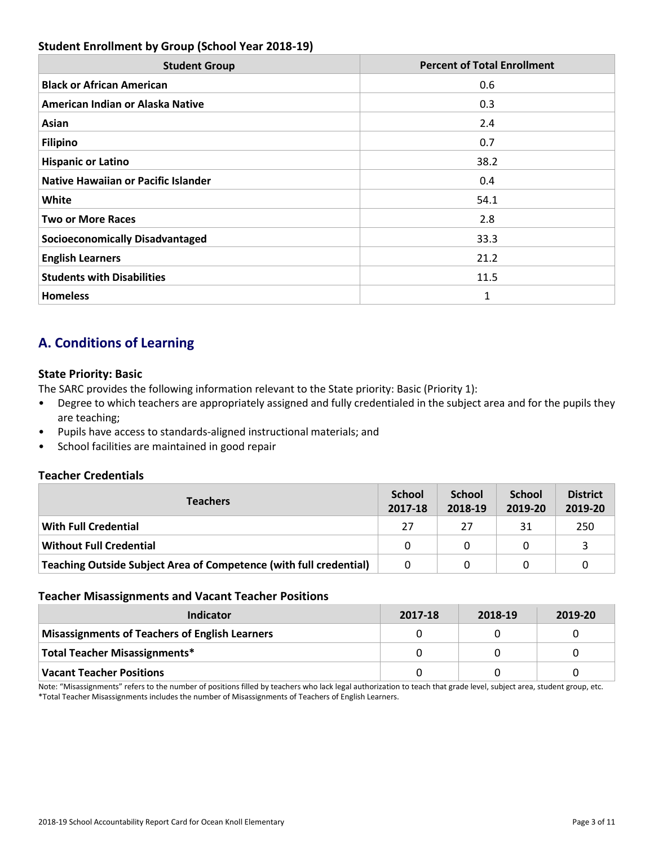# **Student Enrollment by Group (School Year 2018-19)**

| <b>Student Group</b>                       | <b>Percent of Total Enrollment</b> |
|--------------------------------------------|------------------------------------|
| <b>Black or African American</b>           | 0.6                                |
| American Indian or Alaska Native           | 0.3                                |
| Asian                                      | 2.4                                |
| <b>Filipino</b>                            | 0.7                                |
| <b>Hispanic or Latino</b>                  | 38.2                               |
| <b>Native Hawaiian or Pacific Islander</b> | 0.4                                |
| White                                      | 54.1                               |
| <b>Two or More Races</b>                   | 2.8                                |
| <b>Socioeconomically Disadvantaged</b>     | 33.3                               |
| <b>English Learners</b>                    | 21.2                               |
| <b>Students with Disabilities</b>          | 11.5                               |
| <b>Homeless</b>                            | 1                                  |

# **A. Conditions of Learning**

## **State Priority: Basic**

The SARC provides the following information relevant to the State priority: Basic (Priority 1):

- Degree to which teachers are appropriately assigned and fully credentialed in the subject area and for the pupils they are teaching;
- Pupils have access to standards-aligned instructional materials; and
- School facilities are maintained in good repair

## **Teacher Credentials**

| <b>Teachers</b>                                                    | School<br>2017-18 | <b>School</b><br>2018-19 | <b>School</b><br>2019-20 | <b>District</b><br>2019-20 |
|--------------------------------------------------------------------|-------------------|--------------------------|--------------------------|----------------------------|
| <b>With Full Credential</b>                                        | 27                | 27                       | 31                       | 250                        |
| <b>Without Full Credential</b>                                     | 0                 | 0                        |                          |                            |
| Teaching Outside Subject Area of Competence (with full credential) | 0                 |                          |                          |                            |

### **Teacher Misassignments and Vacant Teacher Positions**

| Indicator                                             | 2017-18 | 2018-19 | 2019-20 |
|-------------------------------------------------------|---------|---------|---------|
| <b>Misassignments of Teachers of English Learners</b> |         |         |         |
| Total Teacher Misassignments*                         |         |         |         |
| <b>Vacant Teacher Positions</b>                       |         |         |         |

Note: "Misassignments" refers to the number of positions filled by teachers who lack legal authorization to teach that grade level, subject area, student group, etc. \*Total Teacher Misassignments includes the number of Misassignments of Teachers of English Learners.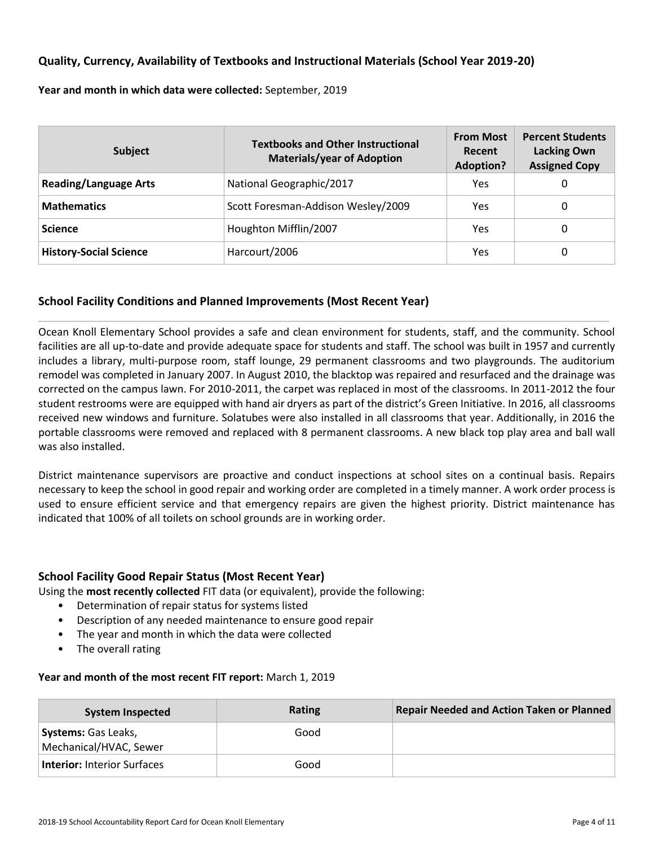### **Quality, Currency, Availability of Textbooks and Instructional Materials (School Year 2019-20)**

**Year and month in which data were collected:** September, 2019

| <b>Subject</b>                | <b>Textbooks and Other Instructional</b><br><b>Materials/year of Adoption</b> | <b>From Most</b><br>Recent<br><b>Adoption?</b> | <b>Percent Students</b><br><b>Lacking Own</b><br><b>Assigned Copy</b> |
|-------------------------------|-------------------------------------------------------------------------------|------------------------------------------------|-----------------------------------------------------------------------|
| <b>Reading/Language Arts</b>  | National Geographic/2017                                                      | Yes                                            | 0                                                                     |
| <b>Mathematics</b>            | Scott Foresman-Addison Wesley/2009                                            | Yes                                            | 0                                                                     |
| <b>Science</b>                | Houghton Mifflin/2007                                                         | Yes                                            | 0                                                                     |
| <b>History-Social Science</b> | Harcourt/2006                                                                 | Yes                                            | 0                                                                     |

### **School Facility Conditions and Planned Improvements (Most Recent Year)**

Ocean Knoll Elementary School provides a safe and clean environment for students, staff, and the community. School facilities are all up-to-date and provide adequate space for students and staff. The school was built in 1957 and currently includes a library, multi-purpose room, staff lounge, 29 permanent classrooms and two playgrounds. The auditorium remodel was completed in January 2007. In August 2010, the blacktop was repaired and resurfaced and the drainage was corrected on the campus lawn. For 2010-2011, the carpet was replaced in most of the classrooms. In 2011-2012 the four student restrooms were are equipped with hand air dryers as part of the district's Green Initiative. In 2016, all classrooms received new windows and furniture. Solatubes were also installed in all classrooms that year. Additionally, in 2016 the portable classrooms were removed and replaced with 8 permanent classrooms. A new black top play area and ball wall was also installed.

District maintenance supervisors are proactive and conduct inspections at school sites on a continual basis. Repairs necessary to keep the school in good repair and working order are completed in a timely manner. A work order process is used to ensure efficient service and that emergency repairs are given the highest priority. District maintenance has indicated that 100% of all toilets on school grounds are in working order.

### **School Facility Good Repair Status (Most Recent Year)**

Using the **most recently collected** FIT data (or equivalent), provide the following:

- Determination of repair status for systems listed
- Description of any needed maintenance to ensure good repair
- The year and month in which the data were collected
- The overall rating

#### **Year and month of the most recent FIT report:** March 1, 2019

| <b>System Inspected</b>                              | Rating | <b>Repair Needed and Action Taken or Planned</b> |
|------------------------------------------------------|--------|--------------------------------------------------|
| <b>Systems:</b> Gas Leaks,<br>Mechanical/HVAC, Sewer | Good   |                                                  |
| <b>Interior: Interior Surfaces</b>                   | Good   |                                                  |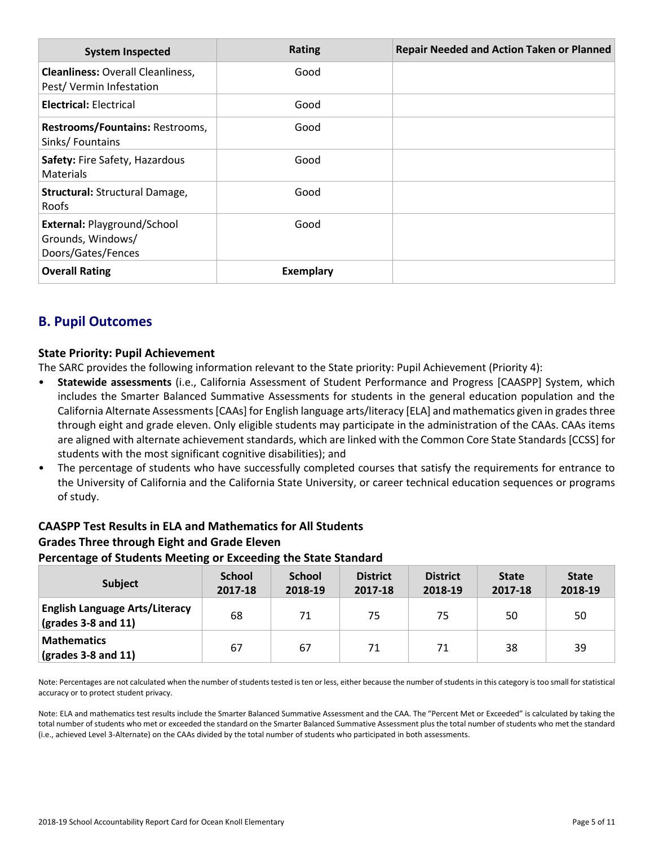| <b>System Inspected</b>                                                       | <b>Rating</b>    | <b>Repair Needed and Action Taken or Planned</b> |
|-------------------------------------------------------------------------------|------------------|--------------------------------------------------|
| <b>Cleanliness: Overall Cleanliness,</b><br>Pest/Vermin Infestation           | Good             |                                                  |
| <b>Electrical: Electrical</b>                                                 | Good             |                                                  |
| Restrooms/Fountains: Restrooms,<br>Sinks/Fountains                            | Good             |                                                  |
| Safety: Fire Safety, Hazardous<br><b>Materials</b>                            | Good             |                                                  |
| <b>Structural: Structural Damage,</b><br>Roofs                                | Good             |                                                  |
| <b>External: Playground/School</b><br>Grounds, Windows/<br>Doors/Gates/Fences | Good             |                                                  |
| <b>Overall Rating</b>                                                         | <b>Exemplary</b> |                                                  |

# **B. Pupil Outcomes**

## **State Priority: Pupil Achievement**

The SARC provides the following information relevant to the State priority: Pupil Achievement (Priority 4):

- **Statewide assessments** (i.e., California Assessment of Student Performance and Progress [CAASPP] System, which includes the Smarter Balanced Summative Assessments for students in the general education population and the California Alternate Assessments [CAAs] for English language arts/literacy [ELA] and mathematics given in grades three through eight and grade eleven. Only eligible students may participate in the administration of the CAAs. CAAs items are aligned with alternate achievement standards, which are linked with the Common Core State Standards [CCSS] for students with the most significant cognitive disabilities); and
- The percentage of students who have successfully completed courses that satisfy the requirements for entrance to the University of California and the California State University, or career technical education sequences or programs of study.

# **CAASPP Test Results in ELA and Mathematics for All Students Grades Three through Eight and Grade Eleven Percentage of Students Meeting or Exceeding the State Standard**

| <b>Subject</b>                                                                | <b>School</b><br>2017-18 | <b>School</b><br>2018-19 | <b>District</b><br>2017-18 | <b>District</b><br>2018-19 | <b>State</b><br>2017-18 | <b>State</b><br>2018-19 |
|-------------------------------------------------------------------------------|--------------------------|--------------------------|----------------------------|----------------------------|-------------------------|-------------------------|
| <b>English Language Arts/Literacy</b><br>$\left($ grades 3-8 and 11 $\right)$ | 68                       | 71                       | 75                         | 75                         | 50                      | 50                      |
| <b>Mathematics</b><br>$\left($ grades 3-8 and 11 $\right)$                    | 67                       | 67                       | 71                         | 71                         | 38                      | 39                      |

Note: Percentages are not calculated when the number of students tested is ten or less, either because the number of students in this category is too small for statistical accuracy or to protect student privacy.

Note: ELA and mathematics test results include the Smarter Balanced Summative Assessment and the CAA. The "Percent Met or Exceeded" is calculated by taking the total number of students who met or exceeded the standard on the Smarter Balanced Summative Assessment plus the total number of students who met the standard (i.e., achieved Level 3-Alternate) on the CAAs divided by the total number of students who participated in both assessments.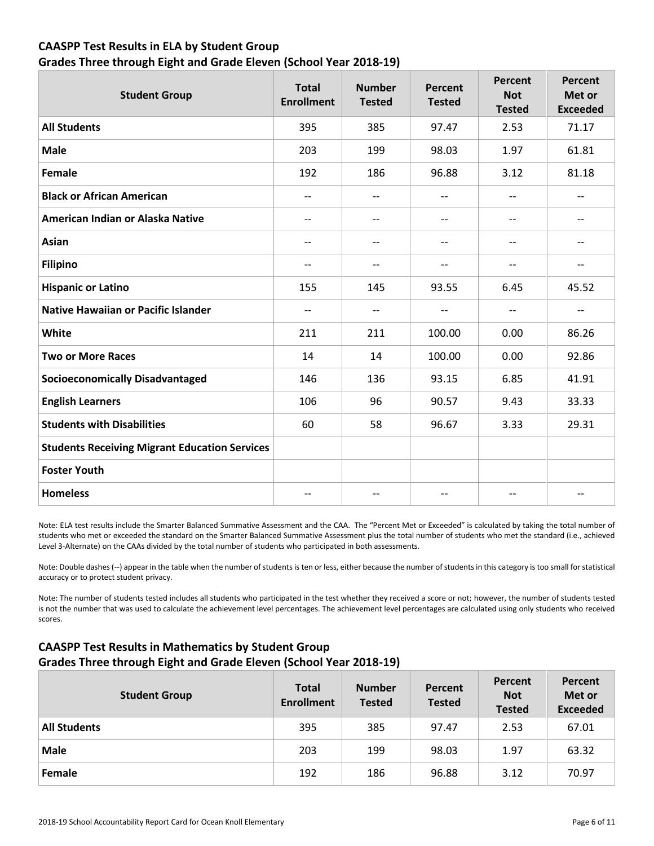# **CAASPP Test Results in ELA by Student Group Grades Three through Eight and Grade Eleven (School Year 2018-19)**

| <b>Student Group</b>                                 | <b>Total</b><br><b>Enrollment</b> | <b>Number</b><br><b>Tested</b> | <b>Percent</b><br><b>Tested</b> | <b>Percent</b><br><b>Not</b><br><b>Tested</b> | Percent<br>Met or<br><b>Exceeded</b> |
|------------------------------------------------------|-----------------------------------|--------------------------------|---------------------------------|-----------------------------------------------|--------------------------------------|
| <b>All Students</b>                                  | 395                               | 385                            | 97.47                           | 2.53                                          | 71.17                                |
| <b>Male</b>                                          | 203                               | 199                            | 98.03                           | 1.97                                          | 61.81                                |
| Female                                               | 192                               | 186                            | 96.88                           | 3.12                                          | 81.18                                |
| <b>Black or African American</b>                     | $\overline{\phantom{a}}$          | $\qquad \qquad -$              | $\overline{\phantom{a}}$        | $- -$                                         | $\qquad \qquad -$                    |
| American Indian or Alaska Native                     | $\overline{\phantom{a}}$          |                                | $\overline{\phantom{m}}$        | $-$                                           | $\qquad \qquad -$                    |
| <b>Asian</b>                                         | $-$                               | $\overline{\phantom{a}}$       | --                              | --                                            | --                                   |
| <b>Filipino</b>                                      | $\qquad \qquad -$                 | $\overline{a}$                 | $-$                             | $-$                                           | $\qquad \qquad -$                    |
| <b>Hispanic or Latino</b>                            | 155                               | 145                            | 93.55                           | 6.45                                          | 45.52                                |
| <b>Native Hawaiian or Pacific Islander</b>           | $-$                               | $\overline{\phantom{m}}$       | --                              | --                                            | $\overline{\phantom{a}}$             |
| White                                                | 211                               | 211                            | 100.00                          | 0.00                                          | 86.26                                |
| <b>Two or More Races</b>                             | 14                                | 14                             | 100.00                          | 0.00                                          | 92.86                                |
| <b>Socioeconomically Disadvantaged</b>               | 146                               | 136                            | 93.15                           | 6.85                                          | 41.91                                |
| <b>English Learners</b>                              | 106                               | 96                             | 90.57                           | 9.43                                          | 33.33                                |
| <b>Students with Disabilities</b>                    | 60                                | 58                             | 96.67                           | 3.33                                          | 29.31                                |
| <b>Students Receiving Migrant Education Services</b> |                                   |                                |                                 |                                               |                                      |
| <b>Foster Youth</b>                                  |                                   |                                |                                 |                                               |                                      |
| <b>Homeless</b>                                      | $-$                               |                                | $-$                             | --                                            | --                                   |

Note: ELA test results include the Smarter Balanced Summative Assessment and the CAA. The "Percent Met or Exceeded" is calculated by taking the total number of students who met or exceeded the standard on the Smarter Balanced Summative Assessment plus the total number of students who met the standard (i.e., achieved Level 3-Alternate) on the CAAs divided by the total number of students who participated in both assessments.

Note: Double dashes (--) appear in the table when the number of students is ten or less, either because the number of students in this category is too small for statistical accuracy or to protect student privacy.

Note: The number of students tested includes all students who participated in the test whether they received a score or not; however, the number of students tested is not the number that was used to calculate the achievement level percentages. The achievement level percentages are calculated using only students who received scores.

# **CAASPP Test Results in Mathematics by Student Group Grades Three through Eight and Grade Eleven (School Year 2018-19)**

| <b>Student Group</b> | <b>Total</b><br><b>Enrollment</b> | <b>Number</b><br><b>Tested</b> | Percent<br><b>Tested</b> | Percent<br><b>Not</b><br><b>Tested</b> | Percent<br>Met or<br><b>Exceeded</b> |
|----------------------|-----------------------------------|--------------------------------|--------------------------|----------------------------------------|--------------------------------------|
| <b>All Students</b>  | 395                               | 385                            | 97.47                    | 2.53                                   | 67.01                                |
| <b>Male</b>          | 203                               | 199                            | 98.03                    | 1.97                                   | 63.32                                |
| Female               | 192                               | 186                            | 96.88                    | 3.12                                   | 70.97                                |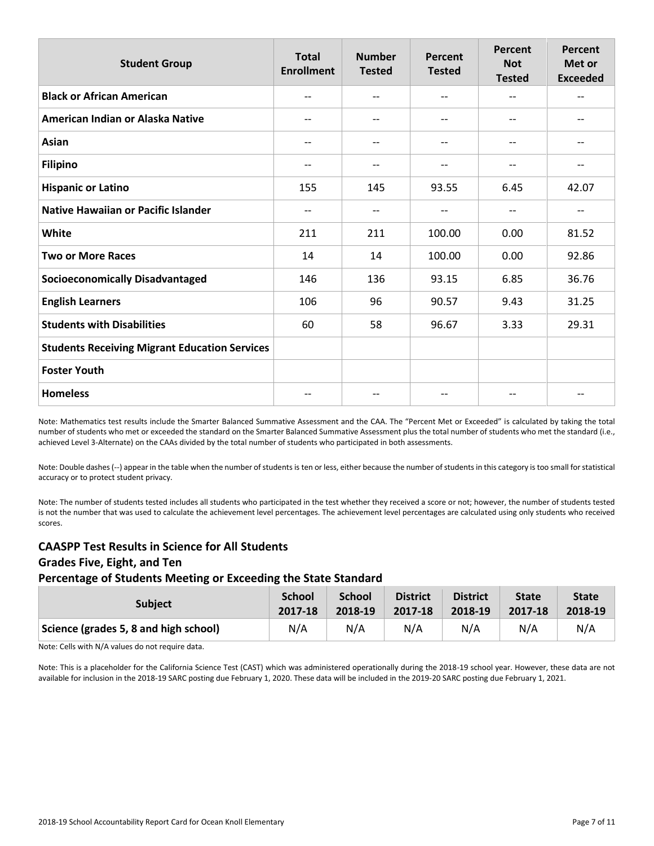| <b>Student Group</b>                                 | <b>Total</b><br><b>Enrollment</b> | <b>Number</b><br><b>Tested</b> | Percent<br><b>Tested</b> | <b>Percent</b><br><b>Not</b><br><b>Tested</b> | Percent<br>Met or<br><b>Exceeded</b> |
|------------------------------------------------------|-----------------------------------|--------------------------------|--------------------------|-----------------------------------------------|--------------------------------------|
| <b>Black or African American</b>                     | --                                |                                | $\overline{\phantom{a}}$ | --                                            | --                                   |
| American Indian or Alaska Native                     | $-$                               | $-$                            | $\overline{\phantom{a}}$ | $-$                                           | $- -$                                |
| Asian                                                | --                                |                                | $-$                      | --                                            |                                      |
| <b>Filipino</b>                                      | --                                |                                | $\overline{\phantom{a}}$ | --                                            | --                                   |
| <b>Hispanic or Latino</b>                            | 155                               | 145                            | 93.55                    | 6.45                                          | 42.07                                |
| <b>Native Hawaiian or Pacific Islander</b>           | --                                |                                | --                       | --                                            | --                                   |
| White                                                | 211                               | 211                            | 100.00                   | 0.00                                          | 81.52                                |
| <b>Two or More Races</b>                             | 14                                | 14                             | 100.00                   | 0.00                                          | 92.86                                |
| <b>Socioeconomically Disadvantaged</b>               | 146                               | 136                            | 93.15                    | 6.85                                          | 36.76                                |
| <b>English Learners</b>                              | 106                               | 96                             | 90.57                    | 9.43                                          | 31.25                                |
| <b>Students with Disabilities</b>                    | 60                                | 58                             | 96.67                    | 3.33                                          | 29.31                                |
| <b>Students Receiving Migrant Education Services</b> |                                   |                                |                          |                                               |                                      |
| <b>Foster Youth</b>                                  |                                   |                                |                          |                                               |                                      |
| <b>Homeless</b>                                      |                                   |                                | --                       |                                               |                                      |

Note: Mathematics test results include the Smarter Balanced Summative Assessment and the CAA. The "Percent Met or Exceeded" is calculated by taking the total number of students who met or exceeded the standard on the Smarter Balanced Summative Assessment plus the total number of students who met the standard (i.e., achieved Level 3-Alternate) on the CAAs divided by the total number of students who participated in both assessments.

Note: Double dashes (--) appear in the table when the number of students is ten or less, either because the number of students in this category is too small for statistical accuracy or to protect student privacy.

Note: The number of students tested includes all students who participated in the test whether they received a score or not; however, the number of students tested is not the number that was used to calculate the achievement level percentages. The achievement level percentages are calculated using only students who received scores.

### **CAASPP Test Results in Science for All Students Grades Five, Eight, and Ten Percentage of Students Meeting or Exceeding the State Standard**

| <b>Subject</b>                        | <b>School</b> | <b>School</b> | <b>District</b> | <b>District</b> | <b>State</b> | <b>State</b> |
|---------------------------------------|---------------|---------------|-----------------|-----------------|--------------|--------------|
|                                       | 2017-18       | 2018-19       | 2017-18         | 2018-19         | 2017-18      | 2018-19      |
| Science (grades 5, 8 and high school) | N/A           | N/A           | N/A             | N/A             | N/A          | N/A          |

Note: Cells with N/A values do not require data.

Note: This is a placeholder for the California Science Test (CAST) which was administered operationally during the 2018-19 school year. However, these data are not available for inclusion in the 2018-19 SARC posting due February 1, 2020. These data will be included in the 2019-20 SARC posting due February 1, 2021.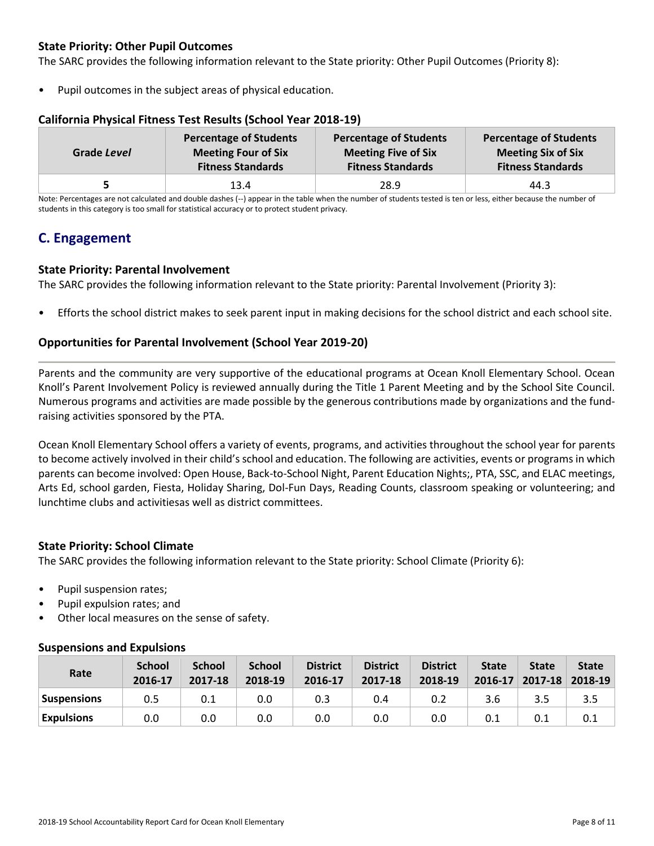# **State Priority: Other Pupil Outcomes**

The SARC provides the following information relevant to the State priority: Other Pupil Outcomes (Priority 8):

Pupil outcomes in the subject areas of physical education.

| Grade Level | <b>Percentage of Students</b> | <b>Percentage of Students</b> | <b>Percentage of Students</b> |
|-------------|-------------------------------|-------------------------------|-------------------------------|
|             | <b>Meeting Four of Six</b>    | <b>Meeting Five of Six</b>    | <b>Meeting Six of Six</b>     |
|             | <b>Fitness Standards</b>      | <b>Fitness Standards</b>      | <b>Fitness Standards</b>      |
|             | 13.4                          | 28.9                          | 44.3                          |

### **California Physical Fitness Test Results (School Year 2018-19)**

Note: Percentages are not calculated and double dashes (--) appear in the table when the number of students tested is ten or less, either because the number of students in this category is too small for statistical accuracy or to protect student privacy.

# **C. Engagement**

### **State Priority: Parental Involvement**

The SARC provides the following information relevant to the State priority: Parental Involvement (Priority 3):

• Efforts the school district makes to seek parent input in making decisions for the school district and each school site.

### **Opportunities for Parental Involvement (School Year 2019-20)**

Parents and the community are very supportive of the educational programs at Ocean Knoll Elementary School. Ocean Knoll's Parent Involvement Policy is reviewed annually during the Title 1 Parent Meeting and by the School Site Council. Numerous programs and activities are made possible by the generous contributions made by organizations and the fundraising activities sponsored by the PTA.

Ocean Knoll Elementary School offers a variety of events, programs, and activities throughout the school year for parents to become actively involved in their child's school and education. The following are activities, events or programs in which parents can become involved: Open House, Back-to-School Night, Parent Education Nights;, PTA, SSC, and ELAC meetings, Arts Ed, school garden, Fiesta, Holiday Sharing, Dol-Fun Days, Reading Counts, classroom speaking or volunteering; and lunchtime clubs and activitiesas well as district committees.

### **State Priority: School Climate**

The SARC provides the following information relevant to the State priority: School Climate (Priority 6):

- Pupil suspension rates;
- Pupil expulsion rates; and
- Other local measures on the sense of safety.

### **Suspensions and Expulsions**

| Rate              | <b>School</b><br>2016-17 | <b>School</b><br>2017-18 | <b>School</b><br>2018-19 | <b>District</b><br>2016-17 | <b>District</b><br>2017-18 | <b>District</b><br>2018-19 | <b>State</b><br>2016-17 | <b>State</b><br>$2017 - 18$ | <b>State</b><br>2018-19 |
|-------------------|--------------------------|--------------------------|--------------------------|----------------------------|----------------------------|----------------------------|-------------------------|-----------------------------|-------------------------|
| Suspensions       | 0.5                      | 0.1                      | 0.0                      | 0.3                        | 0.4                        | 0.2                        | 3.6                     | 3.5                         | 3.5                     |
| <b>Expulsions</b> | 0.0                      | 0.0                      | 0.0                      | 0.0                        | 0.0                        | 0.0                        | 0.1                     | 0.1                         |                         |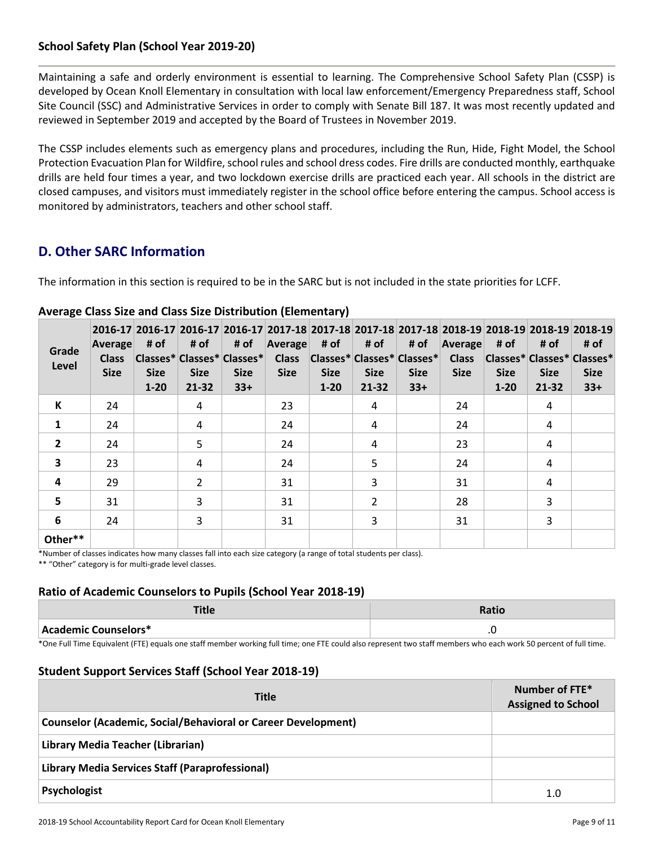# **School Safety Plan (School Year 2019-20)**

Maintaining a safe and orderly environment is essential to learning. The Comprehensive School Safety Plan (CSSP) is developed by Ocean Knoll Elementary in consultation with local law enforcement/Emergency Preparedness staff, School Site Council (SSC) and Administrative Services in order to comply with Senate Bill 187. It was most recently updated and reviewed in September 2019 and accepted by the Board of Trustees in November 2019.

The CSSP includes elements such as emergency plans and procedures, including the Run, Hide, Fight Model, the School Protection Evacuation Plan for Wildfire, school rules and school dress codes. Fire drills are conducted monthly, earthquake drills are held four times a year, and two lockdown exercise drills are practiced each year. All schools in the district are closed campuses, and visitors must immediately register in the school office before entering the campus. School access is monitored by administrators, teachers and other school staff.

# **D. Other SARC Information**

The information in this section is required to be in the SARC but is not included in the state priorities for LCFF.

| Grade<br>Level          | Average<br><b>Class</b><br><b>Size</b> | # of<br><b>Size</b><br>$1 - 20$ | # of<br><b>Size</b><br>21-32 | # of<br>Classes* Classes* Classes*<br><b>Size</b><br>$33+$ | 2016-17 2016-17 2016-17 2016-17 2017-18 2017-18 2017-18 2017-18 2017-18 2018-19 2018-19 2018-19 2018-19<br>Average<br><b>Class</b><br><b>Size</b> | # of<br><b>Size</b><br>$1 - 20$ | # of<br><b>Size</b><br>$21 - 32$ | # of<br> Classes* Classes* Classes* <br><b>Size</b><br>$33+$ | <b>Average</b><br><b>Class</b><br><b>Size</b> | # of<br> Classes* Classes* Classes*<br><b>Size</b><br>$1 - 20$ | # of<br><b>Size</b><br>21-32 | # of<br><b>Size</b><br>$33+$ |
|-------------------------|----------------------------------------|---------------------------------|------------------------------|------------------------------------------------------------|---------------------------------------------------------------------------------------------------------------------------------------------------|---------------------------------|----------------------------------|--------------------------------------------------------------|-----------------------------------------------|----------------------------------------------------------------|------------------------------|------------------------------|
| К                       | 24                                     |                                 | 4                            |                                                            | 23                                                                                                                                                |                                 | 4                                |                                                              | 24                                            |                                                                | 4                            |                              |
| $\mathbf{1}$            | 24                                     |                                 | 4                            |                                                            | 24                                                                                                                                                |                                 | 4                                |                                                              | 24                                            |                                                                | 4                            |                              |
| $\overline{2}$          | 24                                     |                                 | 5                            |                                                            | 24                                                                                                                                                |                                 | 4                                |                                                              | 23                                            |                                                                | 4                            |                              |
| $\overline{\mathbf{3}}$ | 23                                     |                                 | 4                            |                                                            | 24                                                                                                                                                |                                 | 5                                |                                                              | 24                                            |                                                                | 4                            |                              |
| 4                       | 29                                     |                                 | $\overline{2}$               |                                                            | 31                                                                                                                                                |                                 | 3                                |                                                              | 31                                            |                                                                | 4                            |                              |
| 5                       | 31                                     |                                 | 3                            |                                                            | 31                                                                                                                                                |                                 | 2                                |                                                              | 28                                            |                                                                | 3                            |                              |
| 6                       | 24                                     |                                 | 3                            |                                                            | 31                                                                                                                                                |                                 | 3                                |                                                              | 31                                            |                                                                | 3                            |                              |
| Other**                 |                                        |                                 |                              |                                                            |                                                                                                                                                   |                                 |                                  |                                                              |                                               |                                                                |                              |                              |

## **Average Class Size and Class Size Distribution (Elementary)**

\*Number of classes indicates how many classes fall into each size category (a range of total students per class). \*\* "Other" category is for multi-grade level classes.

### **Ratio of Academic Counselors to Pupils (School Year 2018-19)**

| Academic Counselors* | $\cdot$ |
|----------------------|---------|

\*One Full Time Equivalent (FTE) equals one staff member working full time; one FTE could also represent two staff members who each work 50 percent of full time.

### **Student Support Services Staff (School Year 2018-19)**

| <b>Title</b>                                                         | Number of FTE*<br><b>Assigned to School</b> |
|----------------------------------------------------------------------|---------------------------------------------|
| <b>Counselor (Academic, Social/Behavioral or Career Development)</b> |                                             |
| Library Media Teacher (Librarian)                                    |                                             |
| Library Media Services Staff (Paraprofessional)                      |                                             |
| Psychologist                                                         | 1.0                                         |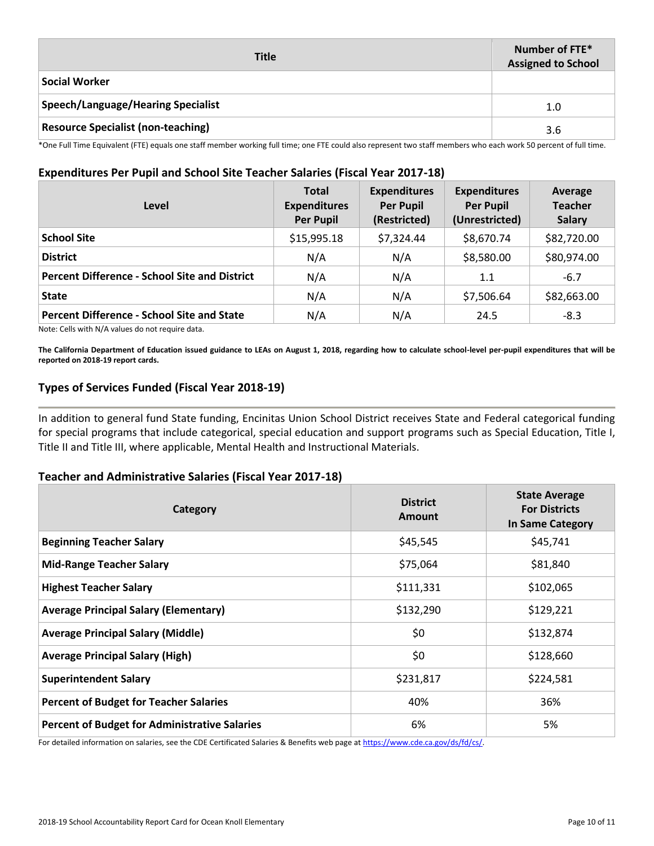| <b>Title</b>                              | Number of FTE*<br><b>Assigned to School</b> |
|-------------------------------------------|---------------------------------------------|
| <b>Social Worker</b>                      |                                             |
| Speech/Language/Hearing Specialist        | 1.0                                         |
| <b>Resource Specialist (non-teaching)</b> | 3.6                                         |

\*One Full Time Equivalent (FTE) equals one staff member working full time; one FTE could also represent two staff members who each work 50 percent of full time.

## **Expenditures Per Pupil and School Site Teacher Salaries (Fiscal Year 2017-18)**

| Level                                                | <b>Total</b><br><b>Expenditures</b><br><b>Per Pupil</b> | <b>Expenditures</b><br><b>Per Pupil</b><br>(Restricted) | <b>Expenditures</b><br><b>Per Pupil</b><br>(Unrestricted) | Average<br><b>Teacher</b><br><b>Salary</b> |
|------------------------------------------------------|---------------------------------------------------------|---------------------------------------------------------|-----------------------------------------------------------|--------------------------------------------|
| <b>School Site</b>                                   | \$15,995.18                                             | \$7,324.44                                              | \$8,670.74                                                | \$82,720.00                                |
| <b>District</b>                                      | N/A                                                     | N/A                                                     | \$8,580.00                                                | \$80,974.00                                |
| <b>Percent Difference - School Site and District</b> | N/A                                                     | N/A                                                     | 1.1                                                       | $-6.7$                                     |
| <b>State</b>                                         | N/A                                                     | N/A                                                     | \$7,506.64                                                | \$82,663.00                                |
| <b>Percent Difference - School Site and State</b>    | N/A                                                     | N/A                                                     | 24.5                                                      | $-8.3$                                     |

Note: Cells with N/A values do not require data.

**The California Department of Education issued guidance to LEAs on August 1, 2018, regarding how to calculate school-level per-pupil expenditures that will be reported on 2018-19 report cards.**

### **Types of Services Funded (Fiscal Year 2018-19)**

In addition to general fund State funding, Encinitas Union School District receives State and Federal categorical funding for special programs that include categorical, special education and support programs such as Special Education, Title I, Title II and Title III, where applicable, Mental Health and Instructional Materials.

### **Teacher and Administrative Salaries (Fiscal Year 2017-18)**

| Category                                             | <b>District</b><br>Amount | <b>State Average</b><br><b>For Districts</b><br>In Same Category |
|------------------------------------------------------|---------------------------|------------------------------------------------------------------|
| <b>Beginning Teacher Salary</b>                      | \$45,545                  | \$45,741                                                         |
| <b>Mid-Range Teacher Salary</b>                      | \$75,064                  | \$81,840                                                         |
| <b>Highest Teacher Salary</b>                        | \$111,331                 | \$102,065                                                        |
| <b>Average Principal Salary (Elementary)</b>         | \$132,290                 | \$129,221                                                        |
| <b>Average Principal Salary (Middle)</b>             | \$0                       | \$132,874                                                        |
| <b>Average Principal Salary (High)</b>               | \$0                       | \$128,660                                                        |
| <b>Superintendent Salary</b>                         | \$231,817                 | \$224,581                                                        |
| <b>Percent of Budget for Teacher Salaries</b>        | 40%                       | 36%                                                              |
| <b>Percent of Budget for Administrative Salaries</b> | 6%                        | 5%                                                               |

For detailed information on salaries, see the CDE Certificated Salaries & Benefits web page at https://www.cde.ca.gov/ds/fd/cs/.